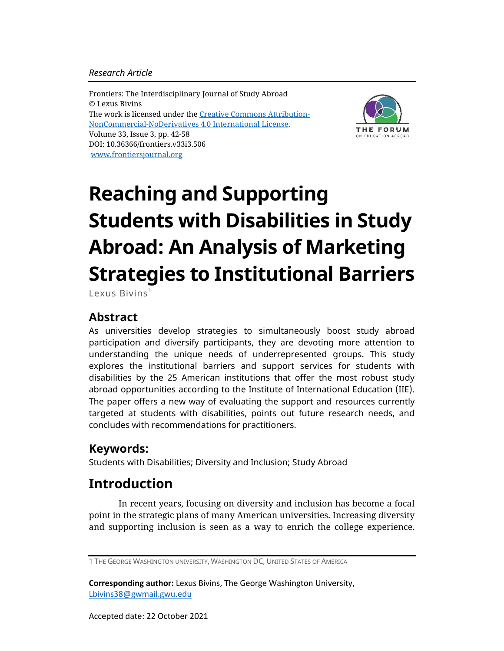#### *Research Article*

Frontiers: The Interdisciplinary Journal of Study Abroad © Lexus Bivins The work is licensed under the [Creative Commons Attribution-](https://creativecommons.org/licenses/by-nc-nd/4.0/)[NonCommercial-NoDerivatives](https://creativecommons.org/licenses/by-nc-nd/4.0/) 4.0 International License. Volume 33, Issue 3, pp. 42-58 DOI: 10.36366/frontiers.v33i3.506 [www.frontiersjournal.org](http://www.frontiersjournal.org/)



# **Reaching and Supporting Students with Disabilities in Study Abroad: An Analysis of Marketing Strategies to Institutional Barriers**

Lexus Bivins<sup>1</sup>

### **Abstract**

As universities develop strategies to simultaneously boost study abroad participation and diversify participants, they are devoting more attention to understanding the unique needs of underrepresented groups. This study explores the institutional barriers and support services for students with disabilities by the 25 American institutions that offer the most robust study abroad opportunities according to the Institute of International Education (IIE). The paper offers a new way of evaluating the support and resources currently targeted at students with disabilities, points out future research needs, and concludes with recommendations for practitioners.

## **Keywords:**

Students with Disabilities; Diversity and Inclusion; Study Abroad

## **Introduction**

In recent years, focusing on diversity and inclusion has become a focal point in the strategic plans of many American universities. Increasing diversity and supporting inclusion is seen as a way to enrich the college experience.

**Corresponding author:** Lexus Bivins, The George Washington University, [Lbivins38@gwmail.gwu.edu](about:blank)

<sup>1</sup> THE GEORGE WASHINGTON UNIVERSITY, WASHINGTON DC, UNITED STATES OF AMERICA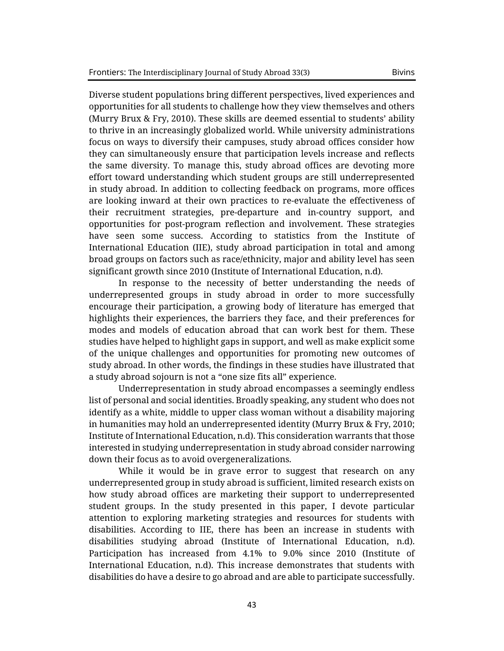Diverse student populations bring different perspectives, lived experiences and opportunities for all students to challenge how they view themselves and others (Murry Brux & Fry, 2010). These skills are deemed essential to students' ability to thrive in an increasingly globalized world. While university administrations focus on ways to diversify their campuses, study abroad offices consider how they can simultaneously ensure that participation levels increase and reflects the same diversity. To manage this, study abroad offices are devoting more effort toward understanding which student groups are still underrepresented in study abroad. In addition to collecting feedback on programs, more offices are looking inward at their own practices to re-evaluate the effectiveness of their recruitment strategies, pre-departure and in-country support, and opportunities for post-program reflection and involvement. These strategies have seen some success. According to statistics from the Institute of International Education (IIE), study abroad participation in total and among broad groups on factors such as race/ethnicity, major and ability level has seen significant growth since 2010 (Institute of International Education, n.d).

In response to the necessity of better understanding the needs of underrepresented groups in study abroad in order to more successfully encourage their participation, a growing body of literature has emerged that highlights their experiences, the barriers they face, and their preferences for modes and models of education abroad that can work best for them. These studies have helped to highlight gaps in support, and well as make explicit some of the unique challenges and opportunities for promoting new outcomes of study abroad. In other words, the findings in these studies have illustrated that a study abroad sojourn is not a "one size fits all" experience.

Underrepresentation in study abroad encompasses a seemingly endless list of personal and social identities. Broadly speaking, any student who does not identify as a white, middle to upper class woman without a disability majoring in humanities may hold an underrepresented identity (Murry Brux & Fry, 2010; Institute of International Education, n.d). This consideration warrants that those interested in studying underrepresentation in study abroad consider narrowing down their focus as to avoid overgeneralizations.

While it would be in grave error to suggest that research on any underrepresented group in study abroad is sufficient, limited research exists on how study abroad offices are marketing their support to underrepresented student groups. In the study presented in this paper, I devote particular attention to exploring marketing strategies and resources for students with disabilities. According to IIE, there has been an increase in students with disabilities studying abroad (Institute of International Education, n.d). Participation has increased from 4.1% to 9.0% since 2010 (Institute of International Education, n.d). This increase demonstrates that students with disabilities do have a desire to go abroad and are able to participate successfully.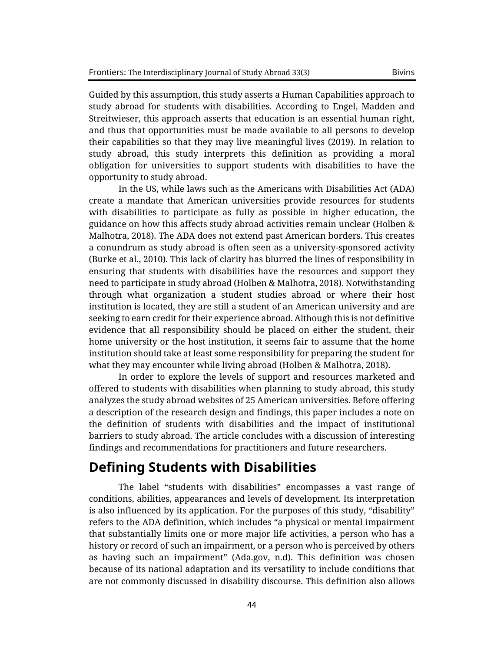Guided by this assumption, this study asserts a Human Capabilities approach to study abroad for students with disabilities. According to Engel, Madden and Streitwieser, this approach asserts that education is an essential human right, and thus that opportunities must be made available to all persons to develop their capabilities so that they may live meaningful lives (2019). In relation to study abroad, this study interprets this definition as providing a moral obligation for universities to support students with disabilities to have the opportunity to study abroad.

In the US, while laws such as the Americans with Disabilities Act (ADA) create a mandate that American universities provide resources for students with disabilities to participate as fully as possible in higher education, the guidance on how this affects study abroad activities remain unclear (Holben & Malhotra, 2018). The ADA does not extend past American borders. This creates a conundrum as study abroad is often seen as a university-sponsored activity (Burke et al., 2010). This lack of clarity has blurred the lines of responsibility in ensuring that students with disabilities have the resources and support they need to participate in study abroad (Holben & Malhotra, 2018). Notwithstanding through what organization a student studies abroad or where their host institution is located, they are still a student of an American university and are seeking to earn credit for their experience abroad. Although this is not definitive evidence that all responsibility should be placed on either the student, their home university or the host institution, it seems fair to assume that the home institution should take at least some responsibility for preparing the student for what they may encounter while living abroad (Holben & Malhotra, 2018).

In order to explore the levels of support and resources marketed and offered to students with disabilities when planning to study abroad, this study analyzes the study abroad websites of 25 American universities. Before offering a description of the research design and findings, this paper includes a note on the definition of students with disabilities and the impact of institutional barriers to study abroad. The article concludes with a discussion of interesting findings and recommendations for practitioners and future researchers.

## **Defining Students with Disabilities**

The label "students with disabilities" encompasses a vast range of conditions, abilities, appearances and levels of development. Its interpretation is also influenced by its application. For the purposes of this study, "disability" refers to the ADA definition, which includes "a physical or mental impairment that substantially limits one or more major life activities, a person who has a history or record of such an impairment, or a person who is perceived by others as having such an impairment" (Ada.gov, n.d). This definition was chosen because of its national adaptation and its versatility to include conditions that are not commonly discussed in disability discourse. This definition also allows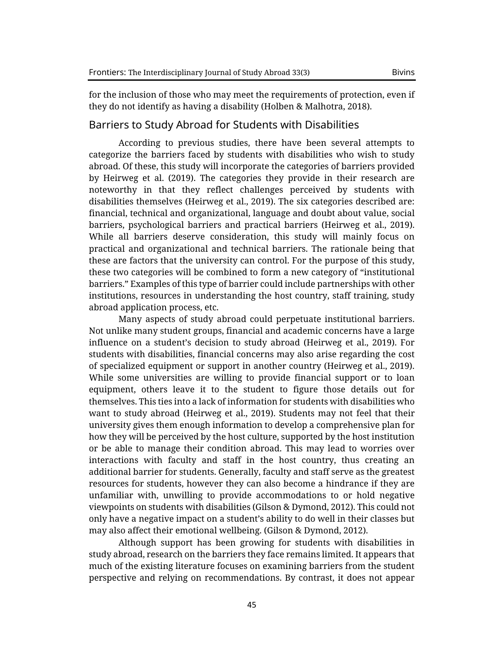for the inclusion of those who may meet the requirements of protection, even if they do not identify as having a disability (Holben & Malhotra, 2018).

#### Barriers to Study Abroad for Students with Disabilities

According to previous studies, there have been several attempts to categorize the barriers faced by students with disabilities who wish to study abroad. Of these, this study will incorporate the categories of barriers provided by Heirweg et al. (2019). The categories they provide in their research are noteworthy in that they reflect challenges perceived by students with disabilities themselves (Heirweg et al., 2019). The six categories described are: financial, technical and organizational, language and doubt about value, social barriers, psychological barriers and practical barriers (Heirweg et al., 2019). While all barriers deserve consideration, this study will mainly focus on practical and organizational and technical barriers. The rationale being that these are factors that the university can control. For the purpose of this study, these two categories will be combined to form a new category of "institutional barriers." Examples of this type of barrier could include partnerships with other institutions, resources in understanding the host country, staff training, study abroad application process, etc.

Many aspects of study abroad could perpetuate institutional barriers. Not unlike many student groups, financial and academic concerns have a large influence on a student's decision to study abroad (Heirweg et al., 2019). For students with disabilities, financial concerns may also arise regarding the cost of specialized equipment or support in another country (Heirweg et al., 2019). While some universities are willing to provide financial support or to loan equipment, others leave it to the student to figure those details out for themselves. This ties into a lack of information for students with disabilities who want to study abroad (Heirweg et al., 2019). Students may not feel that their university gives them enough information to develop a comprehensive plan for how they will be perceived by the host culture, supported by the host institution or be able to manage their condition abroad. This may lead to worries over interactions with faculty and staff in the host country, thus creating an additional barrier for students. Generally, faculty and staff serve as the greatest resources for students, however they can also become a hindrance if they are unfamiliar with, unwilling to provide accommodations to or hold negative viewpoints on students with disabilities (Gilson & Dymond, 2012). This could not only have a negative impact on a student's ability to do well in their classes but may also affect their emotional wellbeing. (Gilson & Dymond, 2012).

Although support has been growing for students with disabilities in study abroad, research on the barriers they face remains limited. It appears that much of the existing literature focuses on examining barriers from the student perspective and relying on recommendations. By contrast, it does not appear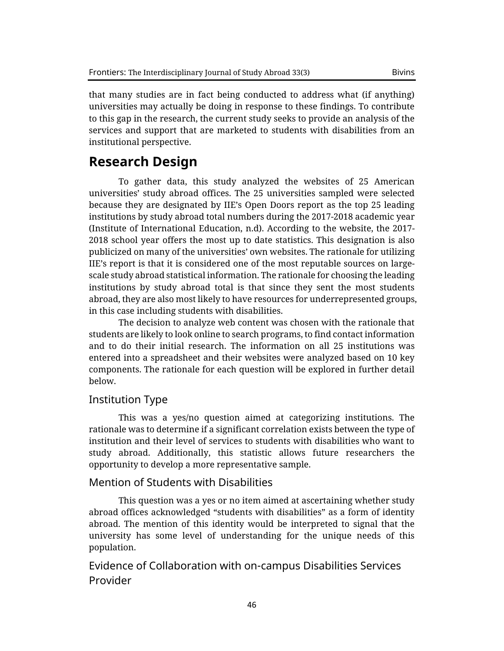that many studies are in fact being conducted to address what (if anything) universities may actually be doing in response to these findings. To contribute to this gap in the research, the current study seeks to provide an analysis of the services and support that are marketed to students with disabilities from an institutional perspective.

## **Research Design**

To gather data, this study analyzed the websites of 25 American universities' study abroad offices. The 25 universities sampled were selected because they are designated by IIE's Open Doors report as the top 25 leading institutions by study abroad total numbers during the 2017-2018 academic year (Institute of International Education, n.d). According to the website, the 2017- 2018 school year offers the most up to date statistics. This designation is also publicized on many of the universities' own websites. The rationale for utilizing IIE's report is that it is considered one of the most reputable sources on largescale study abroad statistical information. The rationale for choosing the leading institutions by study abroad total is that since they sent the most students abroad, they are also most likely to have resources for underrepresented groups, in this case including students with disabilities.

The decision to analyze web content was chosen with the rationale that students are likely to look online to search programs, to find contact information and to do their initial research. The information on all 25 institutions was entered into a spreadsheet and their websites were analyzed based on 10 key components. The rationale for each question will be explored in further detail below.

#### Institution Type

This was a yes/no question aimed at categorizing institutions. The rationale was to determine if a significant correlation exists between the type of institution and their level of services to students with disabilities who want to study abroad. Additionally, this statistic allows future researchers the opportunity to develop a more representative sample.

#### Mention of Students with Disabilities

This question was a yes or no item aimed at ascertaining whether study abroad offices acknowledged "students with disabilities" as a form of identity abroad. The mention of this identity would be interpreted to signal that the university has some level of understanding for the unique needs of this population.

Evidence of Collaboration with on-campus Disabilities Services Provider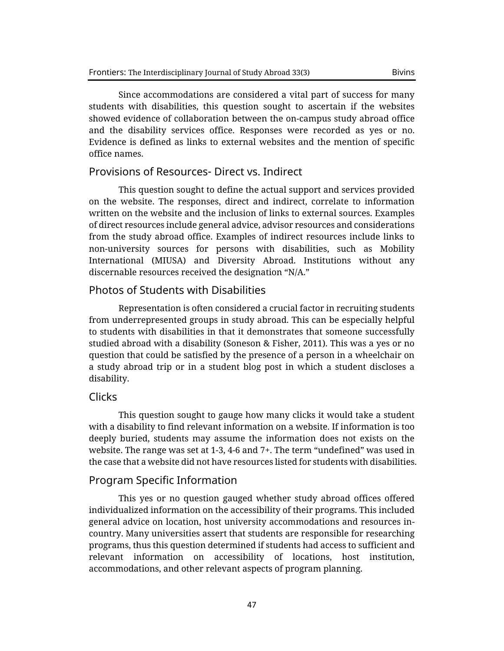Since accommodations are considered a vital part of success for many students with disabilities, this question sought to ascertain if the websites showed evidence of collaboration between the on-campus study abroad office and the disability services office. Responses were recorded as yes or no. Evidence is defined as links to external websites and the mention of specific office names.

#### Provisions of Resources- Direct vs. Indirect

This question sought to define the actual support and services provided on the website. The responses, direct and indirect, correlate to information written on the website and the inclusion of links to external sources. Examples of direct resources include general advice, advisor resources and considerations from the study abroad office. Examples of indirect resources include links to non-university sources for persons with disabilities, such as Mobility International (MIUSA) and Diversity Abroad. Institutions without any discernable resources received the designation "N/A."

#### Photos of Students with Disabilities

Representation is often considered a crucial factor in recruiting students from underrepresented groups in study abroad. This can be especially helpful to students with disabilities in that it demonstrates that someone successfully studied abroad with a disability (Soneson & Fisher, 2011). This was a yes or no question that could be satisfied by the presence of a person in a wheelchair on a study abroad trip or in a student blog post in which a student discloses a disability.

#### Clicks

This question sought to gauge how many clicks it would take a student with a disability to find relevant information on a website. If information is too deeply buried, students may assume the information does not exists on the website. The range was set at 1-3, 4-6 and 7+. The term "undefined" was used in the case that a website did not have resources listed for students with disabilities.

#### Program Specific Information

This yes or no question gauged whether study abroad offices offered individualized information on the accessibility of their programs. This included general advice on location, host university accommodations and resources incountry. Many universities assert that students are responsible for researching programs, thus this question determined if students had access to sufficient and relevant information on accessibility of locations, host institution, accommodations, and other relevant aspects of program planning.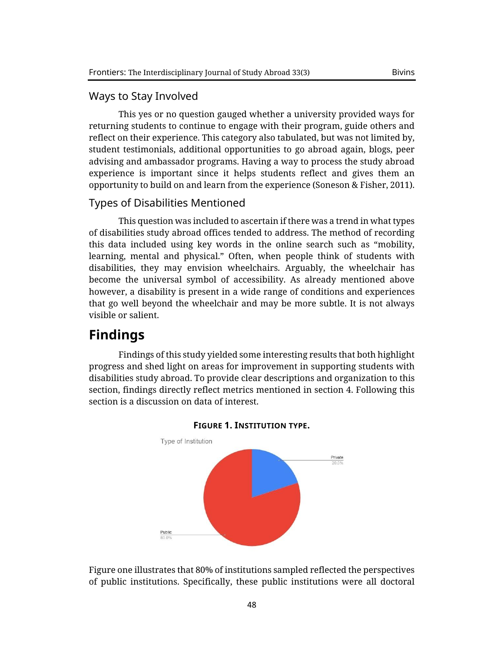#### Ways to Stay Involved

This yes or no question gauged whether a university provided ways for returning students to continue to engage with their program, guide others and reflect on their experience. This category also tabulated, but was not limited by, student testimonials, additional opportunities to go abroad again, blogs, peer advising and ambassador programs. Having a way to process the study abroad experience is important since it helps students reflect and gives them an opportunity to build on and learn from the experience (Soneson & Fisher, 2011).

#### Types of Disabilities Mentioned

This question was included to ascertain if there was a trend in what types of disabilities study abroad offices tended to address. The method of recording this data included using key words in the online search such as "mobility, learning, mental and physical." Often, when people think of students with disabilities, they may envision wheelchairs. Arguably, the wheelchair has become the universal symbol of accessibility. As already mentioned above however, a disability is present in a wide range of conditions and experiences that go well beyond the wheelchair and may be more subtle. It is not always visible or salient.

## **Findings**

Findings of this study yielded some interesting results that both highlight progress and shed light on areas for improvement in supporting students with disabilities study abroad. To provide clear descriptions and organization to this section, findings directly reflect metrics mentioned in section 4. Following this section is a discussion on data of interest.





Figure one illustrates that 80% of institutions sampled reflected the perspectives of public institutions. Specifically, these public institutions were all doctoral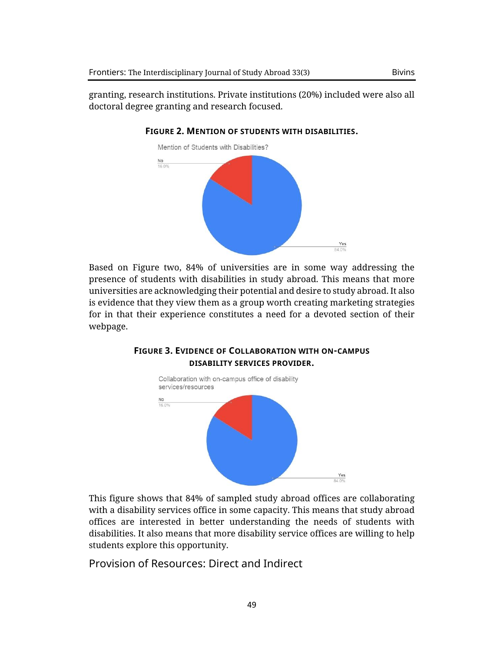granting, research institutions. Private institutions (20%) included were also all doctoral degree granting and research focused.



#### **FIGURE 2. MENTION OF STUDENTS WITH DISABILITIES.**

Based on Figure two, 84% of universities are in some way addressing the presence of students with disabilities in study abroad. This means that more universities are acknowledging their potential and desire to study abroad. It also is evidence that they view them as a group worth creating marketing strategies for in that their experience constitutes a need for a devoted section of their webpage.

#### **FIGURE 3. EVIDENCE OF COLLABORATION WITH ON-CAMPUS DISABILITY SERVICES PROVIDER.**



This figure shows that 84% of sampled study abroad offices are collaborating with a disability services office in some capacity. This means that study abroad offices are interested in better understanding the needs of students with disabilities. It also means that more disability service offices are willing to help students explore this opportunity.

Provision of Resources: Direct and Indirect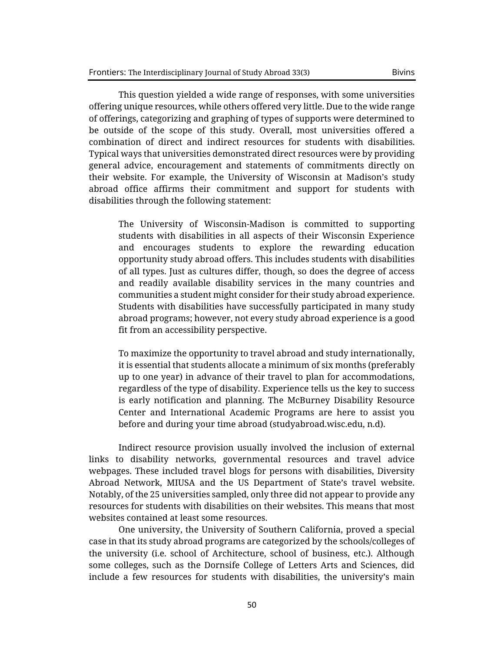This question yielded a wide range of responses, with some universities offering unique resources, while others offered very little. Due to the wide range of offerings, categorizing and graphing of types of supports were determined to be outside of the scope of this study. Overall, most universities offered a combination of direct and indirect resources for students with disabilities. Typical ways that universities demonstrated direct resources were by providing general advice, encouragement and statements of commitments directly on their website. For example, the University of Wisconsin at Madison's study abroad office affirms their commitment and support for students with disabilities through the following statement:

The University of Wisconsin-Madison is committed to supporting students with disabilities in all aspects of their Wisconsin Experience and encourages students to explore the rewarding education opportunity study abroad offers. This includes students with disabilities of all types. Just as cultures differ, though, so does the degree of access and readily available disability services in the many countries and communities a student might consider for their study abroad experience. Students with disabilities have successfully participated in many study abroad programs; however, not every study abroad experience is a good fit from an accessibility perspective.

To maximize the opportunity to travel abroad and study internationally, it is essential that students allocate a minimum of six months (preferably up to one year) in advance of their travel to plan for accommodations, regardless of the type of disability. Experience tells us the key to success is early notification and planning. The McBurney Disability Resource Center and International Academic Programs are here to assist you before and during your time abroad (studyabroad.wisc.edu, n.d).

Indirect resource provision usually involved the inclusion of external links to disability networks, governmental resources and travel advice webpages. These included travel blogs for persons with disabilities, Diversity Abroad Network, MIUSA and the US Department of State's travel website. Notably, of the 25 universities sampled, only three did not appear to provide any resources for students with disabilities on their websites. This means that most websites contained at least some resources.

One university, the University of Southern California, proved a special case in that its study abroad programs are categorized by the schools/colleges of the university (i.e. school of Architecture, school of business, etc.). Although some colleges, such as the Dornsife College of Letters Arts and Sciences, did include a few resources for students with disabilities, the university's main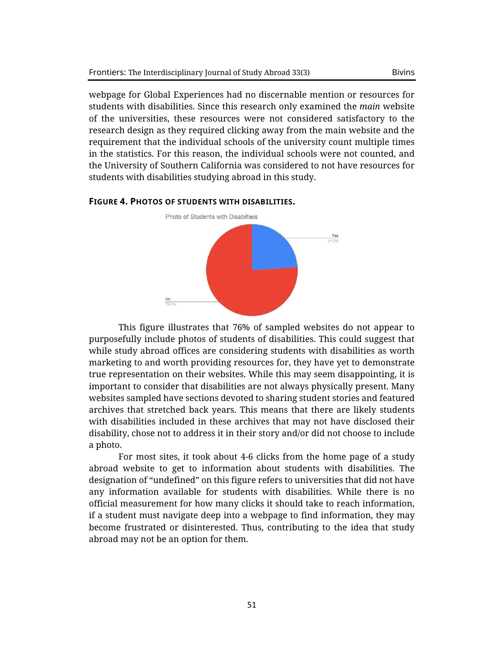webpage for Global Experiences had no discernable mention or resources for students with disabilities. Since this research only examined the *main* website of the universities, these resources were not considered satisfactory to the research design as they required clicking away from the main website and the requirement that the individual schools of the university count multiple times in the statistics. For this reason, the individual schools were not counted, and the University of Southern California was considered to not have resources for students with disabilities studying abroad in this study.



#### **FIGURE 4. PHOTOS OF STUDENTS WITH DISABILITIES.**

This figure illustrates that 76% of sampled websites do not appear to purposefully include photos of students of disabilities. This could suggest that while study abroad offices are considering students with disabilities as worth marketing to and worth providing resources for, they have yet to demonstrate true representation on their websites. While this may seem disappointing, it is important to consider that disabilities are not always physically present. Many websites sampled have sections devoted to sharing student stories and featured archives that stretched back years. This means that there are likely students with disabilities included in these archives that may not have disclosed their disability, chose not to address it in their story and/or did not choose to include a photo.

For most sites, it took about 4-6 clicks from the home page of a study abroad website to get to information about students with disabilities. The designation of "undefined" on this figure refers to universities that did not have any information available for students with disabilities. While there is no official measurement for how many clicks it should take to reach information, if a student must navigate deep into a webpage to find information, they may become frustrated or disinterested. Thus, contributing to the idea that study abroad may not be an option for them.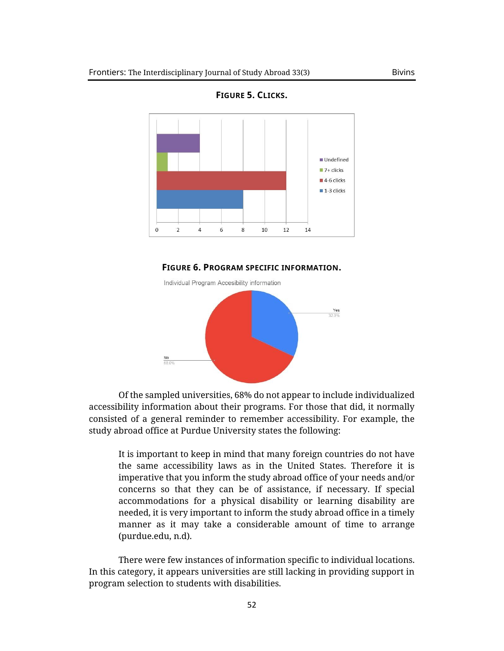

**FIGURE 5. CLICKS.**





Of the sampled universities, 68% do not appear to include individualized accessibility information about their programs. For those that did, it normally consisted of a general reminder to remember accessibility. For example, the study abroad office at Purdue University states the following:

It is important to keep in mind that many foreign countries do not have the same accessibility laws as in the United States. Therefore it is imperative that you inform the study abroad office of your needs and/or concerns so that they can be of assistance, if necessary. If special accommodations for a physical disability or learning disability are needed, it is very important to inform the study abroad office in a timely manner as it may take a considerable amount of time to arrange (purdue.edu, n.d).

There were few instances of information specific to individual locations. In this category, it appears universities are still lacking in providing support in program selection to students with disabilities.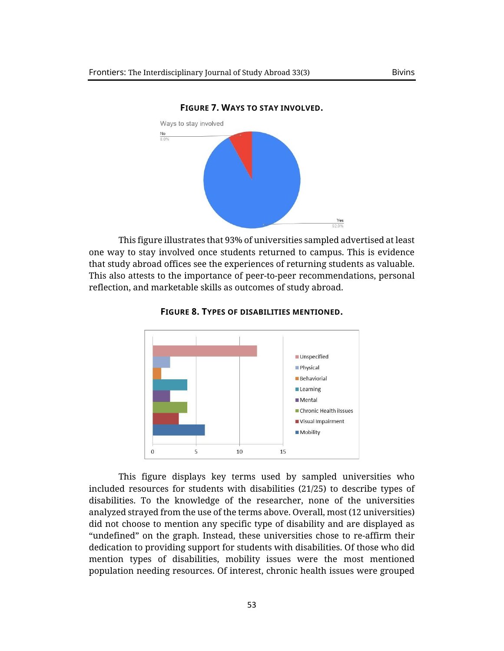

**FIGURE 7. WAYS TO STAY INVOLVED.**

This figure illustrates that 93% of universities sampled advertised at least one way to stay involved once students returned to campus. This is evidence that study abroad offices see the experiences of returning students as valuable. This also attests to the importance of peer-to-peer recommendations, personal reflection, and marketable skills as outcomes of study abroad.



**FIGURE 8. TYPES OF DISABILITIES MENTIONED.**

This figure displays key terms used by sampled universities who included resources for students with disabilities (21/25) to describe types of disabilities. To the knowledge of the researcher, none of the universities analyzed strayed from the use of the terms above. Overall, most (12 universities) did not choose to mention any specific type of disability and are displayed as "undefined" on the graph. Instead, these universities chose to re-affirm their dedication to providing support for students with disabilities. Of those who did mention types of disabilities, mobility issues were the most mentioned population needing resources. Of interest, chronic health issues were grouped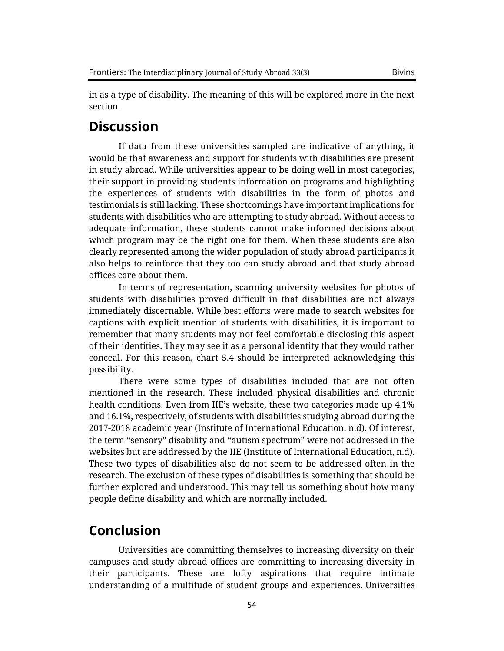in as a type of disability. The meaning of this will be explored more in the next section.

## **Discussion**

If data from these universities sampled are indicative of anything, it would be that awareness and support for students with disabilities are present in study abroad. While universities appear to be doing well in most categories, their support in providing students information on programs and highlighting the experiences of students with disabilities in the form of photos and testimonials is still lacking. These shortcomings have important implications for students with disabilities who are attempting to study abroad. Without access to adequate information, these students cannot make informed decisions about which program may be the right one for them. When these students are also clearly represented among the wider population of study abroad participants it also helps to reinforce that they too can study abroad and that study abroad offices care about them.

In terms of representation, scanning university websites for photos of students with disabilities proved difficult in that disabilities are not always immediately discernable. While best efforts were made to search websites for captions with explicit mention of students with disabilities, it is important to remember that many students may not feel comfortable disclosing this aspect of their identities. They may see it as a personal identity that they would rather conceal. For this reason, chart 5.4 should be interpreted acknowledging this possibility.

There were some types of disabilities included that are not often mentioned in the research. These included physical disabilities and chronic health conditions. Even from IIE's website, these two categories made up 4.1% and 16.1%, respectively, of students with disabilities studying abroad during the 2017-2018 academic year (Institute of International Education, n.d). Of interest, the term "sensory" disability and "autism spectrum" were not addressed in the websites but are addressed by the IIE (Institute of International Education, n.d). These two types of disabilities also do not seem to be addressed often in the research. The exclusion of these types of disabilities is something that should be further explored and understood. This may tell us something about how many people define disability and which are normally included.

## **Conclusion**

Universities are committing themselves to increasing diversity on their campuses and study abroad offices are committing to increasing diversity in their participants. These are lofty aspirations that require intimate understanding of a multitude of student groups and experiences. Universities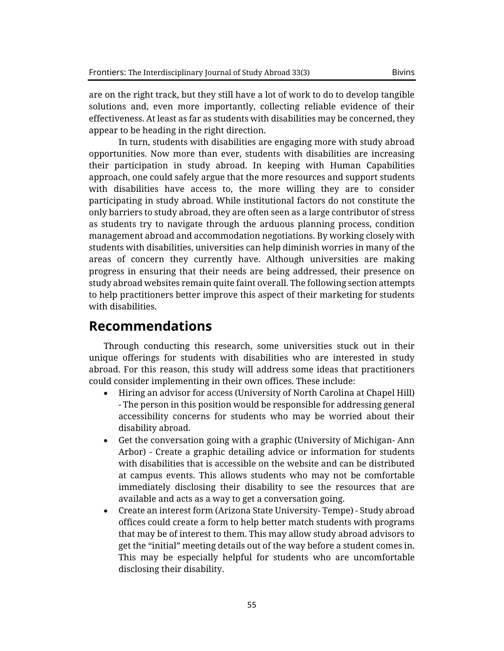are on the right track, but they still have a lot of work to do to develop tangible solutions and, even more importantly, collecting reliable evidence of their effectiveness. At least as far as students with disabilities may be concerned, they appear to be heading in the right direction.

In turn, students with disabilities are engaging more with study abroad opportunities. Now more than ever, students with disabilities are increasing their participation in study abroad. In keeping with Human Capabilities approach, one could safely argue that the more resources and support students with disabilities have access to, the more willing they are to consider participating in study abroad. While institutional factors do not constitute the only barriers to study abroad, they are often seen as a large contributor of stress as students try to navigate through the arduous planning process, condition management abroad and accommodation negotiations. By working closely with students with disabilities, universities can help diminish worries in many of the areas of concern they currently have. Although universities are making progress in ensuring that their needs are being addressed, their presence on study abroad websites remain quite faint overall. The following section attempts to help practitioners better improve this aspect of their marketing for students with disabilities.

## **Recommendations**

Through conducting this research, some universities stuck out in their unique offerings for students with disabilities who are interested in study abroad. For this reason, this study will address some ideas that practitioners could consider implementing in their own offices. These include:

- Hiring an advisor for access (University of North Carolina at Chapel Hill) - The person in this position would be responsible for addressing general accessibility concerns for students who may be worried about their disability abroad.
- Get the conversation going with a graphic (University of Michigan- Ann Arbor) - Create a graphic detailing advice or information for students with disabilities that is accessible on the website and can be distributed at campus events. This allows students who may not be comfortable immediately disclosing their disability to see the resources that are available and acts as a way to get a conversation going.
- Create an interest form (Arizona State University- Tempe) Study abroad offices could create a form to help better match students with programs that may be of interest to them. This may allow study abroad advisors to get the "initial" meeting details out of the way before a student comes in. This may be especially helpful for students who are uncomfortable disclosing their disability.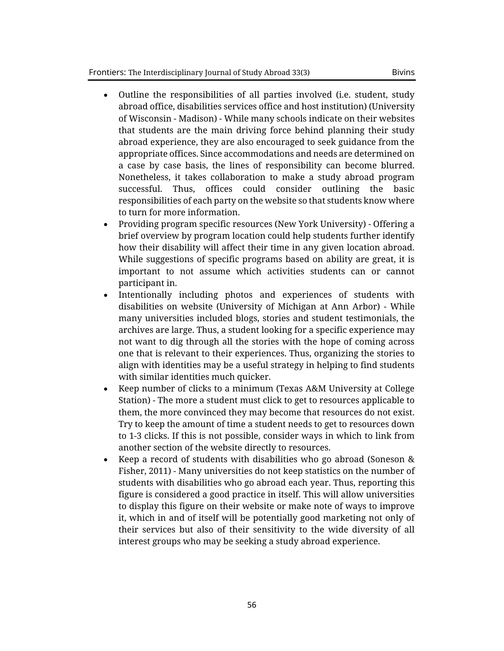- Outline the responsibilities of all parties involved (i.e. student, study abroad office, disabilities services office and host institution) (University of Wisconsin - Madison) - While many schools indicate on their websites that students are the main driving force behind planning their study abroad experience, they are also encouraged to seek guidance from the appropriate offices. Since accommodations and needs are determined on a case by case basis, the lines of responsibility can become blurred. Nonetheless, it takes collaboration to make a study abroad program successful. Thus, offices could consider outlining the basic responsibilities of each party on the website so that students know where to turn for more information.
- Providing program specific resources (New York University) Offering a brief overview by program location could help students further identify how their disability will affect their time in any given location abroad. While suggestions of specific programs based on ability are great, it is important to not assume which activities students can or cannot participant in.
- Intentionally including photos and experiences of students with disabilities on website (University of Michigan at Ann Arbor) - While many universities included blogs, stories and student testimonials, the archives are large. Thus, a student looking for a specific experience may not want to dig through all the stories with the hope of coming across one that is relevant to their experiences. Thus, organizing the stories to align with identities may be a useful strategy in helping to find students with similar identities much quicker.
- Keep number of clicks to a minimum (Texas A&M University at College Station) - The more a student must click to get to resources applicable to them, the more convinced they may become that resources do not exist. Try to keep the amount of time a student needs to get to resources down to 1-3 clicks. If this is not possible, consider ways in which to link from another section of the website directly to resources.
- Keep a record of students with disabilities who go abroad (Soneson & Fisher, 2011) - Many universities do not keep statistics on the number of students with disabilities who go abroad each year. Thus, reporting this figure is considered a good practice in itself. This will allow universities to display this figure on their website or make note of ways to improve it, which in and of itself will be potentially good marketing not only of their services but also of their sensitivity to the wide diversity of all interest groups who may be seeking a study abroad experience.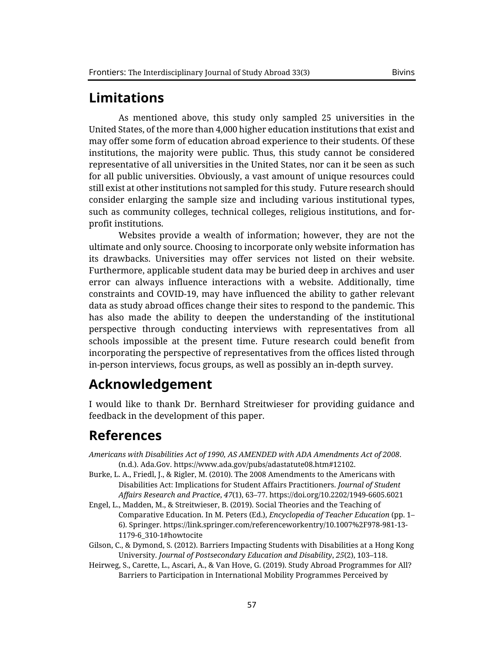## **Limitations**

As mentioned above, this study only sampled 25 universities in the United States, of the more than 4,000 higher education institutions that exist and may offer some form of education abroad experience to their students. Of these institutions, the majority were public. Thus, this study cannot be considered representative of all universities in the United States, nor can it be seen as such for all public universities. Obviously, a vast amount of unique resources could still exist at other institutions not sampled for this study. Future research should consider enlarging the sample size and including various institutional types, such as community colleges, technical colleges, religious institutions, and forprofit institutions.

Websites provide a wealth of information; however, they are not the ultimate and only source. Choosing to incorporate only website information has its drawbacks. Universities may offer services not listed on their website. Furthermore, applicable student data may be buried deep in archives and user error can always influence interactions with a website. Additionally, time constraints and COVID-19, may have influenced the ability to gather relevant data as study abroad offices change their sites to respond to the pandemic. This has also made the ability to deepen the understanding of the institutional perspective through conducting interviews with representatives from all schools impossible at the present time. Future research could benefit from incorporating the perspective of representatives from the offices listed through in-person interviews, focus groups, as well as possibly an in-depth survey.

## **Acknowledgement**

I would like to thank Dr. Bernhard Streitwieser for providing guidance and feedback in the development of this paper.

## **References**

- *Americans with Disabilities Act of 1990, AS AMENDED with ADA Amendments Act of 2008*. (n.d.). Ada.Gov. https://www.ada.gov/pubs/adastatute08.htm#12102.
- Burke, L. A., Friedl, J., & Rigler, M. (2010). The 2008 Amendments to the Americans with Disabilities Act: Implications for Student Affairs Practitioners. *Journal of Student Affairs Research and Practice*, *47*(1), 63–77. https://doi.org/10.2202/1949-6605.6021
- Engel, L., Madden, M., & Streitwieser, B. (2019). Social Theories and the Teaching of Comparative Education. In M. Peters (Ed.), *Encyclopedia of Teacher Education* (pp. 1– 6). Springer. https://link.springer.com/referenceworkentry/10.1007%2F978-981-13- 1179-6\_310-1#howtocite
- Gilson, C., & Dymond, S. (2012). Barriers Impacting Students with Disabilities at a Hong Kong University. *Journal of Postsecondary Education and Disability*, *25*(2), 103–118.
- Heirweg, S., Carette, L., Ascari, A., & Van Hove, G. (2019). Study Abroad Programmes for All? Barriers to Participation in International Mobility Programmes Perceived by